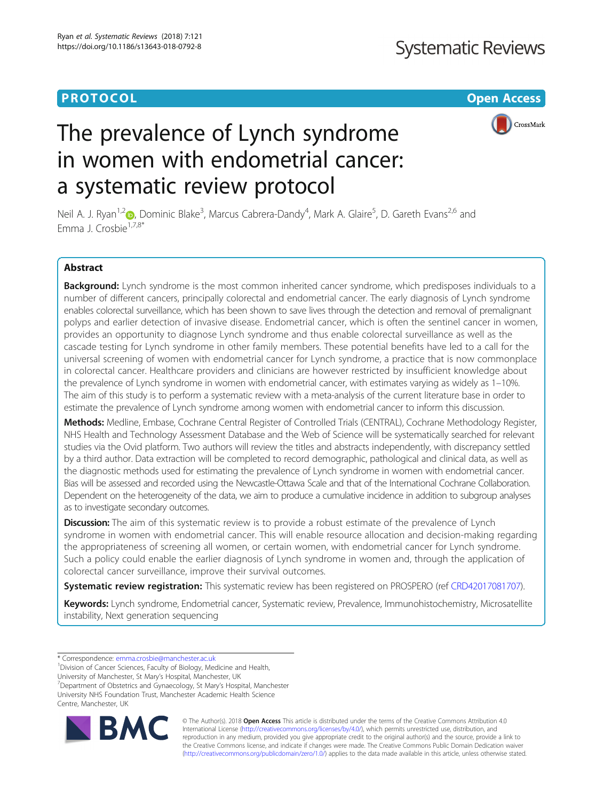# **PROTOCOL CONSUMING THE CONSUMING TEACHER CONSUMING THE CONSUMING TEACHER CONSUMING THE CONSUMING TEACHER CONSUMING**



# The prevalence of Lynch syndrome in women with endometrial cancer: a systematic review protocol

Neil A. J. Ryan<sup>1,[2](http://orcid.org/0000-0003-3117-3257)</sup> (**p**, Dominic Blake<sup>3</sup>, Marcus Cabrera-Dandy<sup>4</sup>, Mark A. Glaire<sup>5</sup>, D. Gareth Evans<sup>2,6</sup> and Emma J. Crosbie<sup>1,7,8\*</sup>

# Abstract

Background: Lynch syndrome is the most common inherited cancer syndrome, which predisposes individuals to a number of different cancers, principally colorectal and endometrial cancer. The early diagnosis of Lynch syndrome enables colorectal surveillance, which has been shown to save lives through the detection and removal of premalignant polyps and earlier detection of invasive disease. Endometrial cancer, which is often the sentinel cancer in women, provides an opportunity to diagnose Lynch syndrome and thus enable colorectal surveillance as well as the cascade testing for Lynch syndrome in other family members. These potential benefits have led to a call for the universal screening of women with endometrial cancer for Lynch syndrome, a practice that is now commonplace in colorectal cancer. Healthcare providers and clinicians are however restricted by insufficient knowledge about the prevalence of Lynch syndrome in women with endometrial cancer, with estimates varying as widely as 1–10%. The aim of this study is to perform a systematic review with a meta-analysis of the current literature base in order to estimate the prevalence of Lynch syndrome among women with endometrial cancer to inform this discussion.

Methods: Medline, Embase, Cochrane Central Register of Controlled Trials (CENTRAL), Cochrane Methodology Register, NHS Health and Technology Assessment Database and the Web of Science will be systematically searched for relevant studies via the Ovid platform. Two authors will review the titles and abstracts independently, with discrepancy settled by a third author. Data extraction will be completed to record demographic, pathological and clinical data, as well as the diagnostic methods used for estimating the prevalence of Lynch syndrome in women with endometrial cancer. Bias will be assessed and recorded using the Newcastle-Ottawa Scale and that of the International Cochrane Collaboration. Dependent on the heterogeneity of the data, we aim to produce a cumulative incidence in addition to subgroup analyses as to investigate secondary outcomes.

**Discussion:** The aim of this systematic review is to provide a robust estimate of the prevalence of Lynch syndrome in women with endometrial cancer. This will enable resource allocation and decision-making regarding the appropriateness of screening all women, or certain women, with endometrial cancer for Lynch syndrome. Such a policy could enable the earlier diagnosis of Lynch syndrome in women and, through the application of colorectal cancer surveillance, improve their survival outcomes.

**Systematic review registration:** This systematic review has been registered on PROSPERO (ref [CRD42017081707](https://www.crd.york.ac.uk/prospero/display_record.php?RecordID=81707)).

Keywords: Lynch syndrome, Endometrial cancer, Systematic review, Prevalence, Immunohistochemistry, Microsatellite instability, Next generation sequencing

\* Correspondence: [emma.crosbie@manchester.ac.uk](mailto:emma.crosbie@manchester.ac.uk) <sup>1</sup>

<sup>1</sup> Division of Cancer Sciences, Faculty of Biology, Medicine and Health,

University of Manchester, St Mary's Hospital, Manchester, UK <sup>7</sup>

 $\sigma$ Department of Obstetrics and Gynaecology, St Mary's Hospital, Manchester University NHS Foundation Trust, Manchester Academic Health Science

Centre, Manchester, UK



© The Author(s). 2018 Open Access This article is distributed under the terms of the Creative Commons Attribution 4.0 International License [\(http://creativecommons.org/licenses/by/4.0/](http://creativecommons.org/licenses/by/4.0/)), which permits unrestricted use, distribution, and reproduction in any medium, provided you give appropriate credit to the original author(s) and the source, provide a link to the Creative Commons license, and indicate if changes were made. The Creative Commons Public Domain Dedication waiver [\(http://creativecommons.org/publicdomain/zero/1.0/](http://creativecommons.org/publicdomain/zero/1.0/)) applies to the data made available in this article, unless otherwise stated.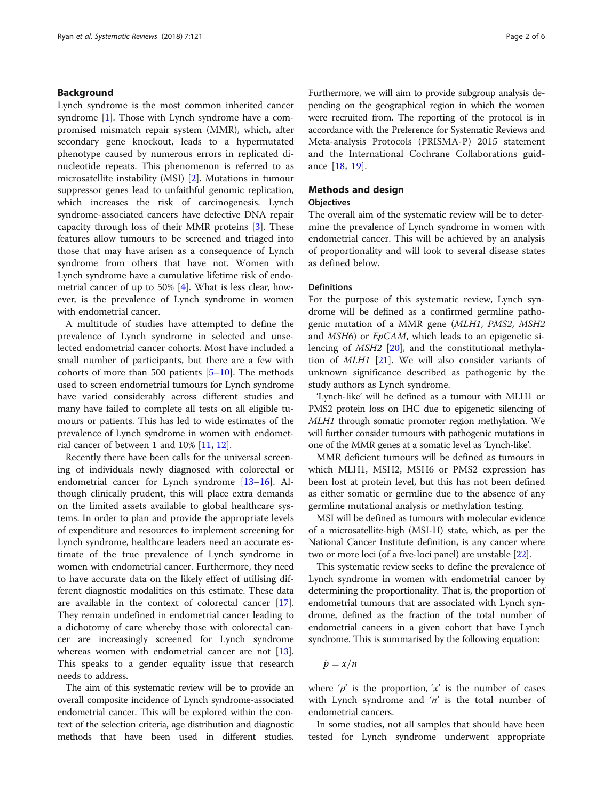# Background

Lynch syndrome is the most common inherited cancer syndrome [[1](#page-5-0)]. Those with Lynch syndrome have a compromised mismatch repair system (MMR), which, after secondary gene knockout, leads to a hypermutated phenotype caused by numerous errors in replicated dinucleotide repeats. This phenomenon is referred to as microsatellite instability (MSI) [[2\]](#page-5-0). Mutations in tumour suppressor genes lead to unfaithful genomic replication, which increases the risk of carcinogenesis. Lynch syndrome-associated cancers have defective DNA repair capacity through loss of their MMR proteins [\[3](#page-5-0)]. These features allow tumours to be screened and triaged into those that may have arisen as a consequence of Lynch syndrome from others that have not. Women with Lynch syndrome have a cumulative lifetime risk of endometrial cancer of up to 50% [[4](#page-5-0)]. What is less clear, however, is the prevalence of Lynch syndrome in women with endometrial cancer.

A multitude of studies have attempted to define the prevalence of Lynch syndrome in selected and unselected endometrial cancer cohorts. Most have included a small number of participants, but there are a few with cohorts of more than 500 patients  $[5-10]$  $[5-10]$  $[5-10]$ . The methods used to screen endometrial tumours for Lynch syndrome have varied considerably across different studies and many have failed to complete all tests on all eligible tumours or patients. This has led to wide estimates of the prevalence of Lynch syndrome in women with endometrial cancer of between 1 and 10% [[11,](#page-5-0) [12\]](#page-5-0).

Recently there have been calls for the universal screening of individuals newly diagnosed with colorectal or endometrial cancer for Lynch syndrome [[13](#page-5-0)–[16](#page-5-0)]. Although clinically prudent, this will place extra demands on the limited assets available to global healthcare systems. In order to plan and provide the appropriate levels of expenditure and resources to implement screening for Lynch syndrome, healthcare leaders need an accurate estimate of the true prevalence of Lynch syndrome in women with endometrial cancer. Furthermore, they need to have accurate data on the likely effect of utilising different diagnostic modalities on this estimate. These data are available in the context of colorectal cancer [\[17](#page-5-0)]. They remain undefined in endometrial cancer leading to a dichotomy of care whereby those with colorectal cancer are increasingly screened for Lynch syndrome whereas women with endometrial cancer are not [\[13](#page-5-0)]. This speaks to a gender equality issue that research needs to address.

The aim of this systematic review will be to provide an overall composite incidence of Lynch syndrome-associated endometrial cancer. This will be explored within the context of the selection criteria, age distribution and diagnostic methods that have been used in different studies.

Furthermore, we will aim to provide subgroup analysis depending on the geographical region in which the women were recruited from. The reporting of the protocol is in accordance with the Preference for Systematic Reviews and Meta-analysis Protocols (PRISMA-P) 2015 statement and the International Cochrane Collaborations guidance [[18,](#page-5-0) [19](#page-5-0)].

# Methods and design

# **Objectives**

The overall aim of the systematic review will be to determine the prevalence of Lynch syndrome in women with endometrial cancer. This will be achieved by an analysis of proportionality and will look to several disease states as defined below.

# Definitions

For the purpose of this systematic review, Lynch syndrome will be defined as a confirmed germline pathogenic mutation of a MMR gene (MLH1, PMS2, MSH2 and MSH6) or EpCAM, which leads to an epigenetic silencing of MSH2 [[20\]](#page-5-0), and the constitutional methylation of MLH1 [[21\]](#page-5-0). We will also consider variants of unknown significance described as pathogenic by the study authors as Lynch syndrome.

'Lynch-like' will be defined as a tumour with MLH1 or PMS2 protein loss on IHC due to epigenetic silencing of MLH1 through somatic promoter region methylation. We will further consider tumours with pathogenic mutations in one of the MMR genes at a somatic level as 'Lynch-like'.

MMR deficient tumours will be defined as tumours in which MLH1, MSH2, MSH6 or PMS2 expression has been lost at protein level, but this has not been defined as either somatic or germline due to the absence of any germline mutational analysis or methylation testing.

MSI will be defined as tumours with molecular evidence of a microsatellite-high (MSI-H) state, which, as per the National Cancer Institute definition, is any cancer where two or more loci (of a five-loci panel) are unstable [\[22\]](#page-5-0).

This systematic review seeks to define the prevalence of Lynch syndrome in women with endometrial cancer by determining the proportionality. That is, the proportion of endometrial tumours that are associated with Lynch syndrome, defined as the fraction of the total number of endometrial cancers in a given cohort that have Lynch syndrome. This is summarised by the following equation:

$$
\hat{p}=x/n
$$

where ' $p'$  is the proportion, 'x' is the number of cases with Lynch syndrome and  $n'$  is the total number of endometrial cancers.

In some studies, not all samples that should have been tested for Lynch syndrome underwent appropriate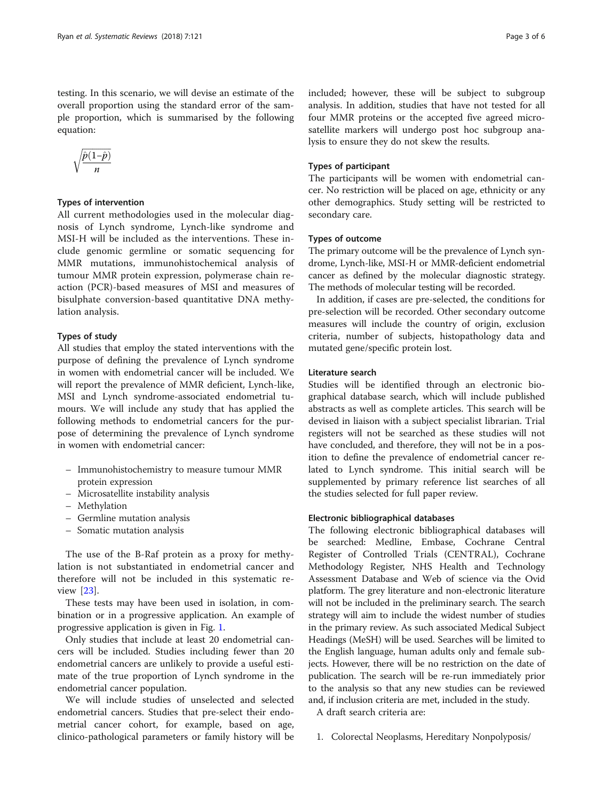testing. In this scenario, we will devise an estimate of the overall proportion using the standard error of the sample proportion, which is summarised by the following equation:

$$
\sqrt{\frac{\hat{p}(1-\hat{p})}{n}}
$$

# Types of intervention

All current methodologies used in the molecular diagnosis of Lynch syndrome, Lynch-like syndrome and MSI-H will be included as the interventions. These include genomic germline or somatic sequencing for MMR mutations, immunohistochemical analysis of tumour MMR protein expression, polymerase chain reaction (PCR)-based measures of MSI and measures of bisulphate conversion-based quantitative DNA methylation analysis.

# Types of study

All studies that employ the stated interventions with the purpose of defining the prevalence of Lynch syndrome in women with endometrial cancer will be included. We will report the prevalence of MMR deficient, Lynch-like, MSI and Lynch syndrome-associated endometrial tumours. We will include any study that has applied the following methods to endometrial cancers for the purpose of determining the prevalence of Lynch syndrome in women with endometrial cancer:

- Immunohistochemistry to measure tumour MMR protein expression
- Microsatellite instability analysis
- Methylation
- Germline mutation analysis
- Somatic mutation analysis

The use of the B-Raf protein as a proxy for methylation is not substantiated in endometrial cancer and therefore will not be included in this systematic review [[23\]](#page-5-0).

These tests may have been used in isolation, in combination or in a progressive application. An example of progressive application is given in Fig. [1](#page-3-0).

Only studies that include at least 20 endometrial cancers will be included. Studies including fewer than 20 endometrial cancers are unlikely to provide a useful estimate of the true proportion of Lynch syndrome in the endometrial cancer population.

We will include studies of unselected and selected endometrial cancers. Studies that pre-select their endometrial cancer cohort, for example, based on age, clinico-pathological parameters or family history will be

included; however, these will be subject to subgroup analysis. In addition, studies that have not tested for all four MMR proteins or the accepted five agreed microsatellite markers will undergo post hoc subgroup analysis to ensure they do not skew the results.

# Types of participant

The participants will be women with endometrial cancer. No restriction will be placed on age, ethnicity or any other demographics. Study setting will be restricted to secondary care.

#### Types of outcome

The primary outcome will be the prevalence of Lynch syndrome, Lynch-like, MSI-H or MMR-deficient endometrial cancer as defined by the molecular diagnostic strategy. The methods of molecular testing will be recorded.

In addition, if cases are pre-selected, the conditions for pre-selection will be recorded. Other secondary outcome measures will include the country of origin, exclusion criteria, number of subjects, histopathology data and mutated gene/specific protein lost.

#### Literature search

Studies will be identified through an electronic biographical database search, which will include published abstracts as well as complete articles. This search will be devised in liaison with a subject specialist librarian. Trial registers will not be searched as these studies will not have concluded, and therefore, they will not be in a position to define the prevalence of endometrial cancer related to Lynch syndrome. This initial search will be supplemented by primary reference list searches of all the studies selected for full paper review.

# Electronic bibliographical databases

The following electronic bibliographical databases will be searched: Medline, Embase, Cochrane Central Register of Controlled Trials (CENTRAL), Cochrane Methodology Register, NHS Health and Technology Assessment Database and Web of science via the Ovid platform. The grey literature and non-electronic literature will not be included in the preliminary search. The search strategy will aim to include the widest number of studies in the primary review. As such associated Medical Subject Headings (MeSH) will be used. Searches will be limited to the English language, human adults only and female subjects. However, there will be no restriction on the date of publication. The search will be re-run immediately prior to the analysis so that any new studies can be reviewed and, if inclusion criteria are met, included in the study.

A draft search criteria are:

1. Colorectal Neoplasms, Hereditary Nonpolyposis/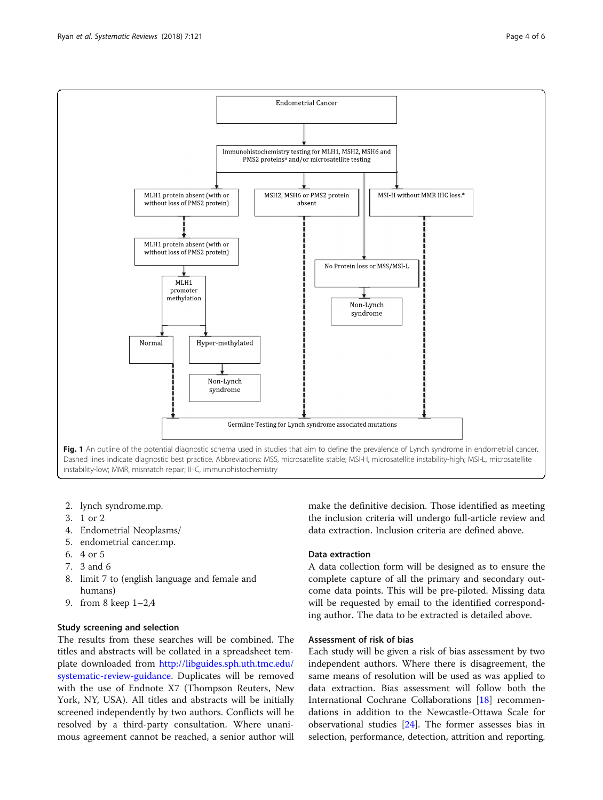<span id="page-3-0"></span>

- 2. lynch syndrome.mp.
- 3. 1 or 2
- 4. Endometrial Neoplasms/
- 5. endometrial cancer.mp.
- 6. 4 or 5
- 7. 3 and 6
- 8. limit 7 to (english language and female and humans)
- 9. from 8 keep 1–2,4

# Study screening and selection

The results from these searches will be combined. The titles and abstracts will be collated in a spreadsheet template downloaded from [http://libguides.sph.uth.tmc.edu/](http://libguides.sph.uth.tmc.edu/systematic-review-guidance) [systematic-review-guidance.](http://libguides.sph.uth.tmc.edu/systematic-review-guidance) Duplicates will be removed with the use of Endnote X7 (Thompson Reuters, New York, NY, USA). All titles and abstracts will be initially screened independently by two authors. Conflicts will be resolved by a third-party consultation. Where unanimous agreement cannot be reached, a senior author will make the definitive decision. Those identified as meeting the inclusion criteria will undergo full-article review and data extraction. Inclusion criteria are defined above.

#### Data extraction

A data collection form will be designed as to ensure the complete capture of all the primary and secondary outcome data points. This will be pre-piloted. Missing data will be requested by email to the identified corresponding author. The data to be extracted is detailed above.

# Assessment of risk of bias

Each study will be given a risk of bias assessment by two independent authors. Where there is disagreement, the same means of resolution will be used as was applied to data extraction. Bias assessment will follow both the International Cochrane Collaborations [[18](#page-5-0)] recommendations in addition to the Newcastle-Ottawa Scale for observational studies [[24\]](#page-5-0). The former assesses bias in selection, performance, detection, attrition and reporting.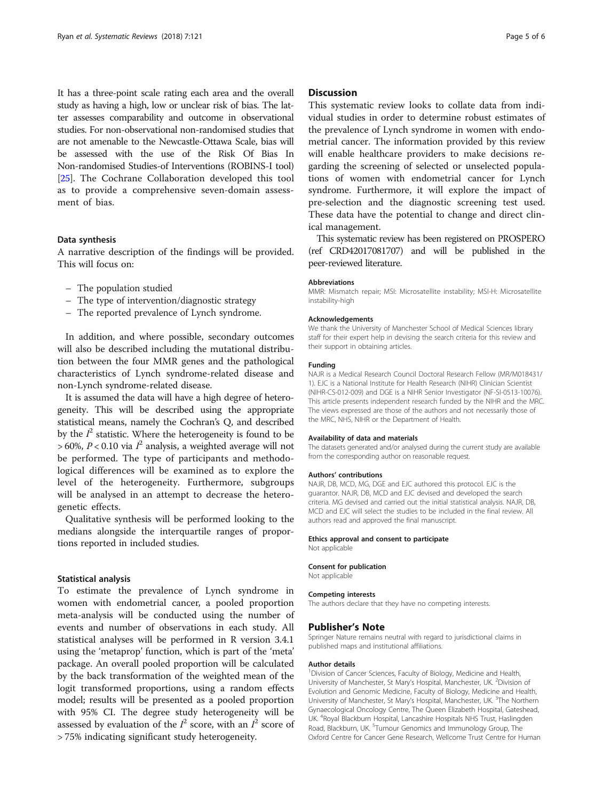It has a three-point scale rating each area and the overall study as having a high, low or unclear risk of bias. The latter assesses comparability and outcome in observational studies. For non-observational non-randomised studies that are not amenable to the Newcastle-Ottawa Scale, bias will be assessed with the use of the Risk Of Bias In Non-randomised Studies-of Interventions (ROBINS-I tool) [[25](#page-5-0)]. The Cochrane Collaboration developed this tool as to provide a comprehensive seven-domain assessment of bias.

#### Data synthesis

A narrative description of the findings will be provided. This will focus on:

- The population studied
- The type of intervention/diagnostic strategy
- The reported prevalence of Lynch syndrome.

In addition, and where possible, secondary outcomes will also be described including the mutational distribution between the four MMR genes and the pathological characteristics of Lynch syndrome-related disease and non-Lynch syndrome-related disease.

It is assumed the data will have a high degree of heterogeneity. This will be described using the appropriate statistical means, namely the Cochran's Q, and described by the  $I^2$  statistic. Where the heterogeneity is found to be  $> 60\%$ ,  $P < 0.10$  via  $I^2$  analysis, a weighted average will not be performed. The type of participants and methodological differences will be examined as to explore the level of the heterogeneity. Furthermore, subgroups will be analysed in an attempt to decrease the heterogenetic effects.

Qualitative synthesis will be performed looking to the medians alongside the interquartile ranges of proportions reported in included studies.

#### Statistical analysis

To estimate the prevalence of Lynch syndrome in women with endometrial cancer, a pooled proportion meta-analysis will be conducted using the number of events and number of observations in each study. All statistical analyses will be performed in R version 3.4.1 using the 'metaprop' function, which is part of the 'meta' package. An overall pooled proportion will be calculated by the back transformation of the weighted mean of the logit transformed proportions, using a random effects model; results will be presented as a pooled proportion with 95% CI. The degree study heterogeneity will be assessed by evaluation of the  $I^2$  score, with an  $I^2$  score of > 75% indicating significant study heterogeneity.

#### **Discussion**

This systematic review looks to collate data from individual studies in order to determine robust estimates of the prevalence of Lynch syndrome in women with endometrial cancer. The information provided by this review will enable healthcare providers to make decisions regarding the screening of selected or unselected populations of women with endometrial cancer for Lynch syndrome. Furthermore, it will explore the impact of pre-selection and the diagnostic screening test used. These data have the potential to change and direct clinical management.

This systematic review has been registered on PROSPERO (ref CRD42017081707) and will be published in the peer-reviewed literature.

#### Abbreviations

MMR: Mismatch repair; MSI: Microsatellite instability; MSI-H: Microsatellite instability-high

#### Acknowledgements

We thank the University of Manchester School of Medical Sciences library staff for their expert help in devising the search criteria for this review and their support in obtaining articles.

#### Funding

NAJR is a Medical Research Council Doctoral Research Fellow (MR/M018431/ 1). EJC is a National Institute for Health Research (NIHR) Clinician Scientist (NIHR-CS-012-009) and DGE is a NIHR Senior Investigator (NF-SI-0513-10076). This article presents independent research funded by the NIHR and the MRC. The views expressed are those of the authors and not necessarily those of the MRC, NHS, NIHR or the Department of Health.

#### Availability of data and materials

The datasets generated and/or analysed during the current study are available from the corresponding author on reasonable request.

#### Authors' contributions

NAJR, DB, MCD, MG, DGE and EJC authored this protocol. EJC is the guarantor. NAJR, DB, MCD and EJC devised and developed the search criteria. MG devised and carried out the initial statistical analysis. NAJR, DB, MCD and EJC will select the studies to be included in the final review. All authors read and approved the final manuscript.

#### Ethics approval and consent to participate

Not applicable

#### Consent for publication

Not applicable

#### Competing interests

The authors declare that they have no competing interests.

#### Publisher's Note

Springer Nature remains neutral with regard to jurisdictional claims in published maps and institutional affiliations.

#### Author details

<sup>1</sup> Division of Cancer Sciences, Faculty of Biology, Medicine and Health, University of Manchester, St Mary's Hospital, Manchester, UK. <sup>2</sup>Division of Evolution and Genomic Medicine, Faculty of Biology, Medicine and Health, University of Manchester, St Mary's Hospital, Manchester, UK. <sup>3</sup>The Northern Gynaecological Oncology Centre, The Queen Elizabeth Hospital, Gateshead, UK. <sup>4</sup>Royal Blackburn Hospital, Lancashire Hospitals NHS Trust, Haslingden Road, Blackburn, UK. <sup>5</sup>Tumour Genomics and Immunology Group, The Oxford Centre for Cancer Gene Research, Wellcome Trust Centre for Human